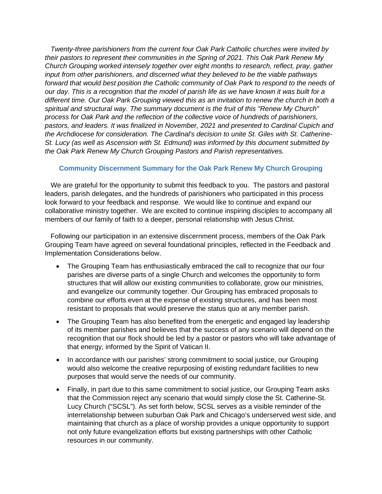*Twenty-three parishioners from the current four Oak Park Catholic churches were invited by their pastors to represent their communities in the Spring of 2021. This Oak Park Renew My Church Grouping worked intensely together over eight months to research, reflect, pray, gather input from other parishioners, and discerned what they believed to be the viable pathways forward that would best position the Catholic community of Oak Park to respond to the needs of our day. This is a recognition that the model of parish life as we have known it was built for a different time. Our Oak Park Grouping viewed this as an invitation to renew the church in both a spiritual and structural way. The summary document is the fruit of this "Renew My Church" process for Oak Park and the reflection of the collective voice of hundreds of parishioners, pastors, and leaders. It was finalized in November, 2021 and presented to Cardinal Cupich and the Archdiocese for consideration. The Cardinal's decision to unite St. Giles with St. Catherine-St. Lucy (as well as Ascension with St. Edmund) was informed by this document submitted by the Oak Park Renew My Church Grouping Pastors and Parish representatives.*

## **Community Discernment Summary for the Oak Park Renew My Church Grouping**

 We are grateful for the opportunity to submit this feedback to you. The pastors and pastoral leaders, parish delegates, and the hundreds of parishioners who participated in this process look forward to your feedback and response. We would like to continue and expand our collaborative ministry together. We are excited to continue inspiring disciples to accompany all members of our family of faith to a deeper, personal relationship with Jesus Christ.

 Following our participation in an extensive discernment process, members of the Oak Park Grouping Team have agreed on several foundational principles, reflected in the Feedback and Implementation Considerations below.

- The Grouping Team has enthusiastically embraced the call to recognize that our four parishes are diverse parts of a single Church and welcomes the opportunity to form structures that will allow our existing communities to collaborate, grow our ministries, and evangelize our community together. Our Grouping has embraced proposals to combine our efforts even at the expense of existing structures, and has been most resistant to proposals that would preserve the status quo at any member parish.
- The Grouping Team has also benefited from the energetic and engaged lay leadership of its member parishes and believes that the success of any scenario will depend on the recognition that our flock should be led by a pastor or pastors who will take advantage of that energy, informed by the Spirit of Vatican II.
- In accordance with our parishes' strong commitment to social justice, our Grouping would also welcome the creative repurposing of existing redundant facilities to new purposes that would serve the needs of our community.
- Finally, in part due to this same commitment to social justice, our Grouping Team asks that the Commission reject any scenario that would simply close the St. Catherine-St. Lucy Church ("SCSL"). As set forth below, SCSL serves as a visible reminder of the interrelationship between suburban Oak Park and Chicago's underserved west side, and maintaining that church as a place of worship provides a unique opportunity to support not only future evangelization efforts but existing partnerships with other Catholic resources in our community.